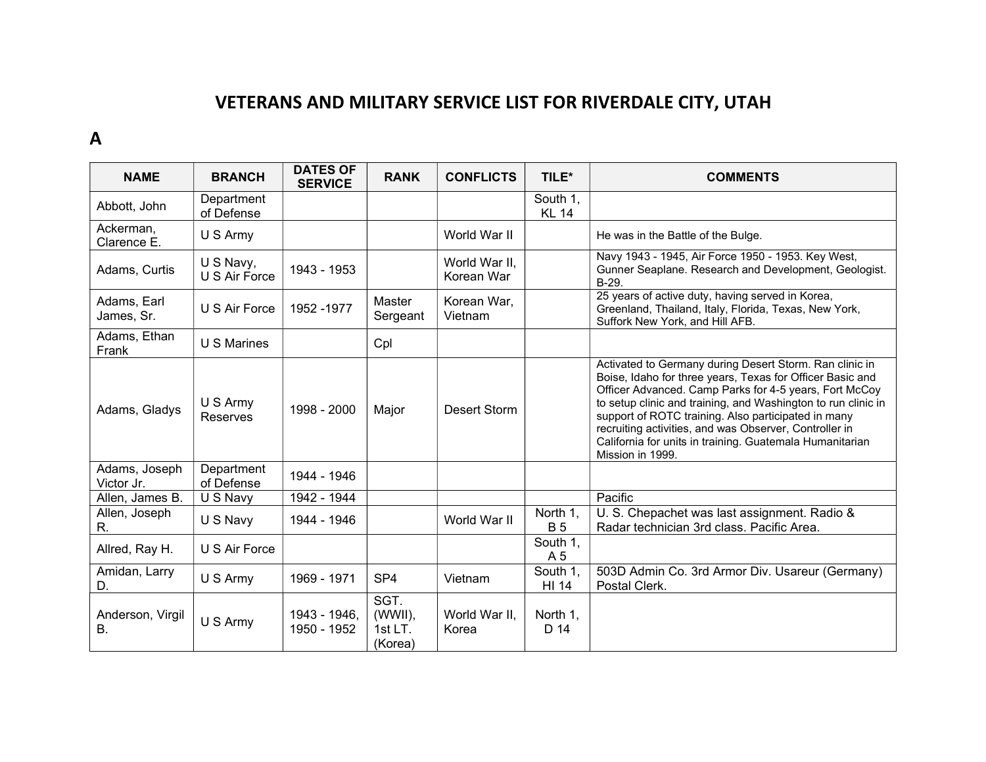## VETERANS AND MILITARY SERVICE LIST FOR RIVERDALE CITY, UTAH

## A

| <b>NAME</b>                 | <b>BRANCH</b>              | <b>DATES OF</b><br><b>SERVICE</b> | <b>RANK</b>                             | <b>CONFLICTS</b>            | TILE*                    | <b>COMMENTS</b>                                                                                                                                                                                                                                                                                                                                                                                                                                  |
|-----------------------------|----------------------------|-----------------------------------|-----------------------------------------|-----------------------------|--------------------------|--------------------------------------------------------------------------------------------------------------------------------------------------------------------------------------------------------------------------------------------------------------------------------------------------------------------------------------------------------------------------------------------------------------------------------------------------|
| Abbott, John                | Department<br>of Defense   |                                   |                                         |                             | South 1.<br><b>KL 14</b> |                                                                                                                                                                                                                                                                                                                                                                                                                                                  |
| Ackerman,<br>Clarence E.    | U S Army                   |                                   |                                         | World War II                |                          | He was in the Battle of the Bulge.                                                                                                                                                                                                                                                                                                                                                                                                               |
| Adams, Curtis               | U S Navy,<br>U S Air Force | 1943 - 1953                       |                                         | World War II,<br>Korean War |                          | Navy 1943 - 1945, Air Force 1950 - 1953. Key West,<br>Gunner Seaplane. Research and Development, Geologist.<br>B-29.                                                                                                                                                                                                                                                                                                                             |
| Adams, Earl<br>James, Sr.   | U S Air Force              | 1952 - 1977                       | Master<br>Sergeant                      | Korean War,<br>Vietnam      |                          | 25 years of active duty, having served in Korea,<br>Greenland, Thailand, Italy, Florida, Texas, New York,<br>Suffork New York, and Hill AFB.                                                                                                                                                                                                                                                                                                     |
| Adams, Ethan<br>Frank       | U S Marines                |                                   | Cpl                                     |                             |                          |                                                                                                                                                                                                                                                                                                                                                                                                                                                  |
| Adams, Gladys               | U S Army<br>Reserves       | 1998 - 2000                       | Major                                   | Desert Storm                |                          | Activated to Germany during Desert Storm. Ran clinic in<br>Boise, Idaho for three years, Texas for Officer Basic and<br>Officer Advanced. Camp Parks for 4-5 years, Fort McCoy<br>to setup clinic and training, and Washington to run clinic in<br>support of ROTC training. Also participated in many<br>recruiting activities, and was Observer, Controller in<br>California for units in training. Guatemala Humanitarian<br>Mission in 1999. |
| Adams, Joseph<br>Victor Jr. | Department<br>of Defense   | 1944 - 1946                       |                                         |                             |                          |                                                                                                                                                                                                                                                                                                                                                                                                                                                  |
| Allen, James B.             | U S Navy                   | 1942 - 1944                       |                                         |                             |                          | Pacific                                                                                                                                                                                                                                                                                                                                                                                                                                          |
| Allen, Joseph<br>R.         | U S Navy                   | 1944 - 1946                       |                                         | World War II                | North 1,<br><b>B5</b>    | U. S. Chepachet was last assignment. Radio &<br>Radar technician 3rd class. Pacific Area.                                                                                                                                                                                                                                                                                                                                                        |
| Allred, Ray H.              | U S Air Force              |                                   |                                         |                             | South 1,<br>A 5          |                                                                                                                                                                                                                                                                                                                                                                                                                                                  |
| Amidan, Larry<br>D.         | U S Army                   | 1969 - 1971                       | SP <sub>4</sub>                         | Vietnam                     | South 1.<br>HI 14        | 503D Admin Co. 3rd Armor Div. Usareur (Germany)<br>Postal Clerk.                                                                                                                                                                                                                                                                                                                                                                                 |
| Anderson, Virgil<br>Β.      | U S Army                   | 1943 - 1946,<br>1950 - 1952       | SGT.<br>(WWII),<br>$1stLT$ .<br>(Korea) | World War II,<br>Korea      | North 1,<br>D 14         |                                                                                                                                                                                                                                                                                                                                                                                                                                                  |